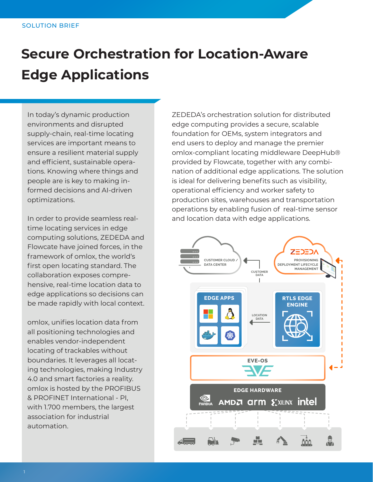# **Secure Orchestration for Location-Aware Edge Applications**

In today's dynamic production environments and disrupted supply-chain, real-time locating services are important means to ensure a resilient material supply and efficient, sustainable operations. Knowing where things and people are is key to making informed decisions and AI-driven optimizations.

In order to provide seamless realtime locating services in edge computing solutions, ZEDEDA and Flowcate have joined forces, in the framework of omlox, the world's first open locating standard. The collaboration exposes comprehensive, real-time location data to edge applications so decisions can be made rapidly with local context.

omlox, unifies location data from all positioning technologies and enables vendor-independent locating of trackables without boundaries. It leverages all locating technologies, making Industry 4.0 and smart factories a reality. omlox is hosted by the PROFIBUS & PROFINET International - PI, with 1.700 members, the largest association for industrial automation.

ZEDEDA's orchestration solution for distributed edge computing provides a secure, scalable foundation for OEMs, system integrators and end users to deploy and manage the premier omlox-compliant locating middleware DeepHub® provided by Flowcate, together with any combination of additional edge applications. The solution is ideal for delivering benefits such as visibility, operational efficiency and worker safety to production sites, warehouses and transportation operations by enabling fusion of real-time sensor and location data with edge applications.

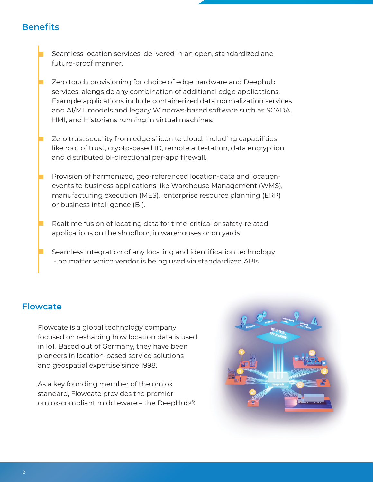## **Benefits**

Seamless location services, delivered in an open, standardized and future-proof manner.

Zero touch provisioning for choice of edge hardware and Deephub services, alongside any combination of additional edge applications. Example applications include containerized data normalization services and AI/ML models and legacy Windows-based software such as SCADA, HMI, and Historians running in virtual machines.

Zero trust security from edge silicon to cloud, including capabilities like root of trust, crypto-based ID, remote attestation, data encryption, and distributed bi-directional per-app firewall.

Provision of harmonized, geo-referenced location-data and locationevents to business applications like Warehouse Management (WMS), manufacturing execution (MES), enterprise resource planning (ERP) or business intelligence (BI).

Realtime fusion of locating data for time-critical or safety-related applications on the shopfloor, in warehouses or on yards.

Seamless integration of any locating and identification technology - no matter which vendor is being used via standardized APIs.

#### **Flowcate**

Flowcate is a global technology company focused on reshaping how location data is used in IoT. Based out of Germany, they have been pioneers in location-based service solutions and geospatial expertise since 1998.

As a key founding member of the omlox standard, Flowcate provides the premier omlox-compliant middleware – the DeepHub®.